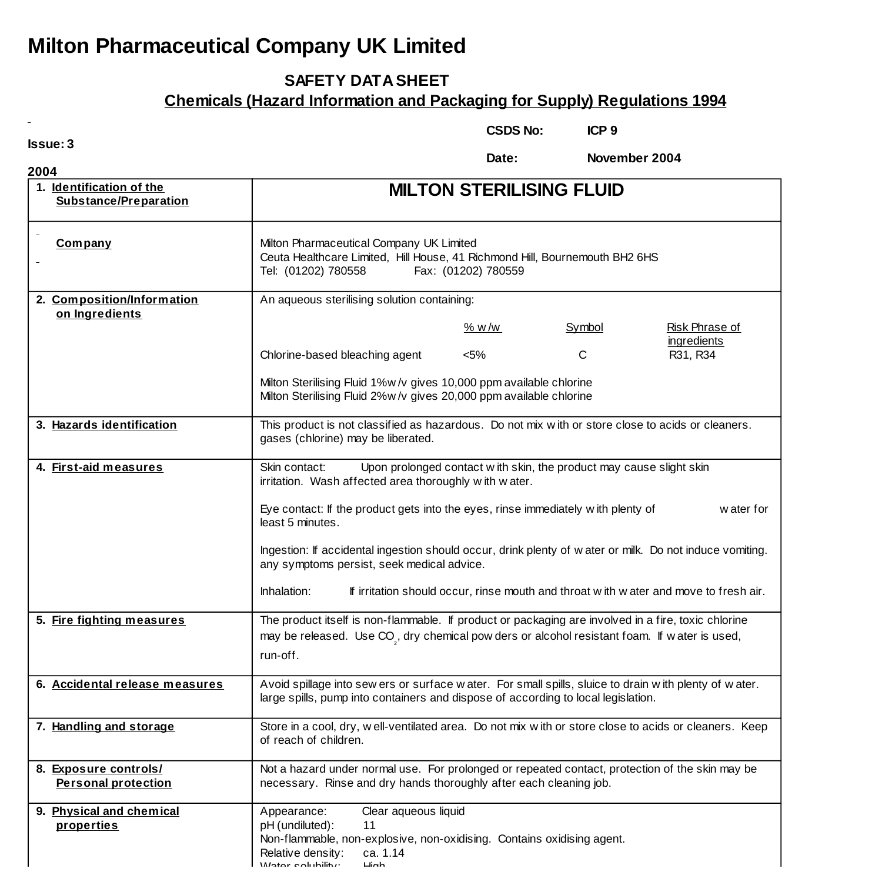## **Milton Pharmaceutical Company UK Limited**

## **SAFETY DATA SHEET**

## **Chemicals (Hazard Information and Packaging for Supply) Regulations 1994**

**Issue: 3**

**CSDS No: ICP 9**

**Date: November 2004**

| 2004                                                |                                                                                                                                                                                                                                                                      |         |        |                                                                                       |
|-----------------------------------------------------|----------------------------------------------------------------------------------------------------------------------------------------------------------------------------------------------------------------------------------------------------------------------|---------|--------|---------------------------------------------------------------------------------------|
| 1. Identification of the<br>Substance/Preparation   | <b>MILTON STERILISING FLUID</b>                                                                                                                                                                                                                                      |         |        |                                                                                       |
| <b>Company</b>                                      | Milton Pharmaceutical Company UK Limited<br>Ceuta Healthcare Limited, Hill House, 41 Richmond Hill, Bournemouth BH2 6HS<br>Tel: (01202) 780558<br>Fax: (01202) 780559                                                                                                |         |        |                                                                                       |
| 2. Composition/Information                          | An aqueous sterilising solution containing:                                                                                                                                                                                                                          |         |        |                                                                                       |
| on Ingredients                                      |                                                                                                                                                                                                                                                                      | % w/w   | Symbol | Risk Phrase of<br>ingredients                                                         |
|                                                     | Chlorine-based bleaching agent                                                                                                                                                                                                                                       | $< 5\%$ | C      | R31, R34                                                                              |
|                                                     | Milton Sterilising Fluid 1%w/v gives 10,000 ppm available chlorine<br>Milton Sterilising Fluid 2%w/v gives 20,000 ppm available chlorine                                                                                                                             |         |        |                                                                                       |
| 3. Hazards identification                           | This product is not classified as hazardous. Do not mix with or store close to acids or cleaners.<br>gases (chlorine) may be liberated.                                                                                                                              |         |        |                                                                                       |
| 4. First-aid measures                               | Skin contact:<br>Upon prolonged contact w ith skin, the product may cause slight skin<br>irritation. Wash affected area thoroughly with water.<br>Eye contact: If the product gets into the eyes, rinse immediately with plenty of<br>w ater for<br>least 5 minutes. |         |        |                                                                                       |
|                                                     | Ingestion: If accidental ingestion should occur, drink plenty of water or milk. Do not induce vomiting.<br>any symptoms persist, seek medical advice.<br>Inhalation:                                                                                                 |         |        | If irritation should occur, rinse mouth and throat with w ater and move to fresh air. |
| 5. Fire fighting measures                           | The product itself is non-flammable. If product or packaging are involved in a fire, toxic chlorine<br>may be released. Use CO <sub>.</sub> , dry chemical pow ders or alcohol resistant foam. If water is used,<br>run-off.                                         |         |        |                                                                                       |
| 6. Accidental release measures                      | Avoid spillage into sew ers or surface water. For small spills, sluice to drain with plenty of water.<br>large spills, pump into containers and dispose of according to local legislation.                                                                           |         |        |                                                                                       |
| 7. Handling and storage                             | Store in a cool, dry, well-ventilated area. Do not mix with or store close to acids or cleaners. Keep<br>of reach of children.                                                                                                                                       |         |        |                                                                                       |
| 8. Exposure controls/<br><b>Personal protection</b> | Not a hazard under normal use. For prolonged or repeated contact, protection of the skin may be<br>necessary. Rinse and dry hands thoroughly after each cleaning job.                                                                                                |         |        |                                                                                       |
| 9. Physical and chemical<br>properties              | Clear aqueous liquid<br>Appearance:<br>pH (undiluted):<br>11<br>Non-flammable, non-explosive, non-oxidising. Contains oxidising agent.                                                                                                                               |         |        |                                                                                       |

Relative density: ca. 1.14

 $\frac{1 \text{Mottor}}{1000}$  solubility: